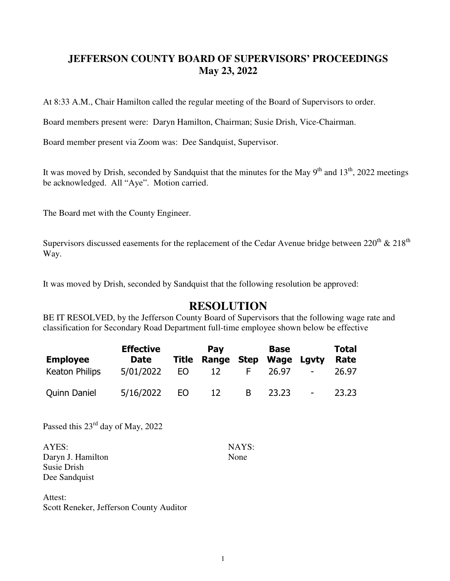## **JEFFERSON COUNTY BOARD OF SUPERVISORS' PROCEEDINGS May 23, 2022**

At 8:33 A.M., Chair Hamilton called the regular meeting of the Board of Supervisors to order.

Board members present were: Daryn Hamilton, Chairman; Susie Drish, Vice-Chairman.

Board member present via Zoom was: Dee Sandquist, Supervisor.

It was moved by Drish, seconded by Sandquist that the minutes for the May  $9<sup>th</sup>$  and  $13<sup>th</sup>$ , 2022 meetings be acknowledged. All "Aye". Motion carried.

The Board met with the County Engineer.

Supervisors discussed easements for the replacement of the Cedar Avenue bridge between  $220^{th} \& 218^{th}$ Way.

It was moved by Drish, seconded by Sandquist that the following resolution be approved:

## **RESOLUTION**

BE IT RESOLVED, by the Jefferson County Board of Supervisors that the following wage rate and classification for Secondary Road Department full-time employee shown below be effective

|                     | <b>Effective</b> |     | Pay                     |   | <b>Base</b> |                          | <b>Total</b> |
|---------------------|------------------|-----|-------------------------|---|-------------|--------------------------|--------------|
| <b>Employee</b>     | Date             |     | <b>Title Range Step</b> |   | Wage Lgvty  |                          | Rate         |
| Keaton Philips      | 5/01/2022        | FO. | $\overline{12}$         |   | 26.97       | $\overline{\phantom{a}}$ | 26.97        |
| <b>Quinn Daniel</b> | 5/16/2022        | FO. | $\overline{12}$         | B | 23.23       | $\overline{\phantom{a}}$ | 23.23        |

Passed this 23rd day of May, 2022

AYES: NAYS: Daryn J. Hamilton None Susie Drish Dee Sandquist

Attest: Scott Reneker, Jefferson County Auditor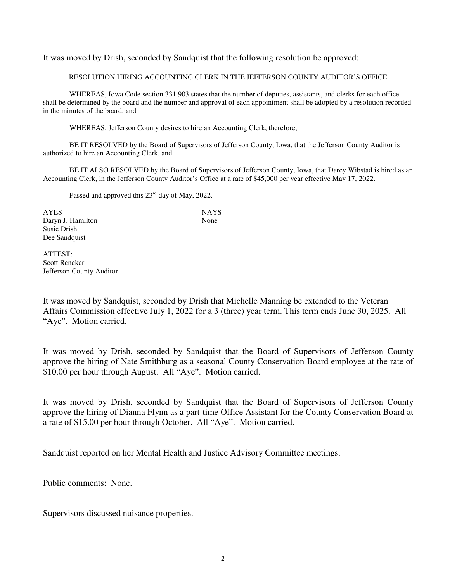It was moved by Drish, seconded by Sandquist that the following resolution be approved:

## RESOLUTION HIRING ACCOUNTING CLERK IN THE JEFFERSON COUNTY AUDITOR'S OFFICE

 WHEREAS, Iowa Code section 331.903 states that the number of deputies, assistants, and clerks for each office shall be determined by the board and the number and approval of each appointment shall be adopted by a resolution recorded in the minutes of the board, and

WHEREAS, Jefferson County desires to hire an Accounting Clerk, therefore,

 BE IT RESOLVED by the Board of Supervisors of Jefferson County, Iowa, that the Jefferson County Auditor is authorized to hire an Accounting Clerk, and

 BE IT ALSO RESOLVED by the Board of Supervisors of Jefferson County, Iowa, that Darcy Wibstad is hired as an Accounting Clerk, in the Jefferson County Auditor's Office at a rate of \$45,000 per year effective May 17, 2022.

Passed and approved this 23<sup>rd</sup> day of May, 2022.

AYES NAYS Daryn J. Hamilton None Susie Drish Dee Sandquist

ATTEST: Scott Reneker Jefferson County Auditor

It was moved by Sandquist, seconded by Drish that Michelle Manning be extended to the Veteran Affairs Commission effective July 1, 2022 for a 3 (three) year term. This term ends June 30, 2025. All "Aye". Motion carried.

It was moved by Drish, seconded by Sandquist that the Board of Supervisors of Jefferson County approve the hiring of Nate Smithburg as a seasonal County Conservation Board employee at the rate of \$10.00 per hour through August. All "Aye". Motion carried.

It was moved by Drish, seconded by Sandquist that the Board of Supervisors of Jefferson County approve the hiring of Dianna Flynn as a part-time Office Assistant for the County Conservation Board at a rate of \$15.00 per hour through October. All "Aye". Motion carried.

Sandquist reported on her Mental Health and Justice Advisory Committee meetings.

Public comments: None.

Supervisors discussed nuisance properties.